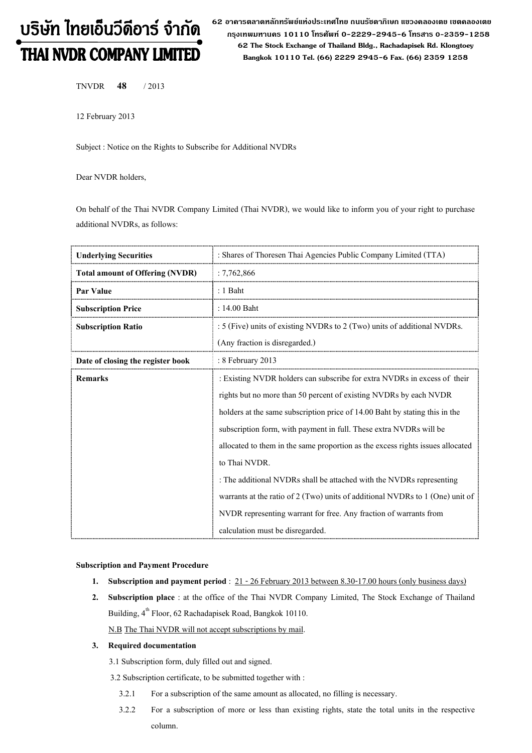# บริษัท ไทยเอ็นวีดีอาร์ จำกัด **THAI NVDR COMPANY LIMITED**

62 อาดารตลาดหลักทรัพย์แห่งประเทศไทย ถนนรัซดาภิเษก แขวงดลองเตย เขตดลองเตย กรุงเทพมหานคร 10110 โทรศัพท์ 0-2229-2945-6 โทรสาร 0-2359-1258 62 The Stock Exchange of Thailand Bldg., Rachadapisek Rd. Klongtoey Bangkok 10110 Tel. (66) 2229 2945-6 Fax. (66) 2359 1258

TNVDR 48 / 2013

12 February 2013

Subject : Notice on the Rights to Subscribe for Additional NVDRs

Dear NVDR holders,

On behalf of the Thai NVDR Company Limited (Thai NVDR), we would like to inform you of your right to purchase additional NVDRs, as follows:

| <b>Underlying Securities</b>           | : Shares of Thoresen Thai Agencies Public Company Limited (TTA)                   |  |
|----------------------------------------|-----------------------------------------------------------------------------------|--|
| <b>Total amount of Offering (NVDR)</b> | :7,762,866                                                                        |  |
| Par Value                              | : 1 Baht                                                                          |  |
| <b>Subscription Price</b>              | : 14.00 Baht                                                                      |  |
| <b>Subscription Ratio</b>              | : 5 (Five) units of existing NVDRs to 2 (Two) units of additional NVDRs.          |  |
|                                        | (Any fraction is disregarded.)                                                    |  |
| Date of closing the register book      | : 8 February 2013                                                                 |  |
| <b>Remarks</b>                         | : Existing NVDR holders can subscribe for extra NVDRs in excess of their          |  |
|                                        | rights but no more than 50 percent of existing NVDRs by each NVDR                 |  |
|                                        | holders at the same subscription price of 14.00 Baht by stating this in the       |  |
|                                        | subscription form, with payment in full. These extra NVDRs will be                |  |
|                                        | allocated to them in the same proportion as the excess rights issues allocated    |  |
|                                        | to Thai NVDR.                                                                     |  |
|                                        | : The additional NVDRs shall be attached with the NVDRs representing              |  |
|                                        | warrants at the ratio of $2$ (Two) units of additional NVDRs to $1$ (One) unit of |  |
|                                        | NVDR representing warrant for free. Any fraction of warrants from                 |  |
|                                        | calculation must be disregarded.                                                  |  |

## Subscription and Payment Procedure

- 1. Subscription and payment period :  $21 26$  February 2013 between 8.30-17.00 hours (only business days)
- 2. Subscription place : at the office of the Thai NVDR Company Limited, The Stock Exchange of Thailand Building, 4<sup>th</sup> Floor, 62 Rachadapisek Road, Bangkok 10110. N.B The Thai NVDR will not accept subscriptions by mail.

#### 3. Required documentation

- 3.1 Subscription form, duly filled out and signed.
- 3.2 Subscription certificate, to be submitted together with :
	- 3.2.1 For a subscription of the same amount as allocated, no filling is necessary.
	- 3.2.2 For a subscription of more or less than existing rights, state the total units in the respective column.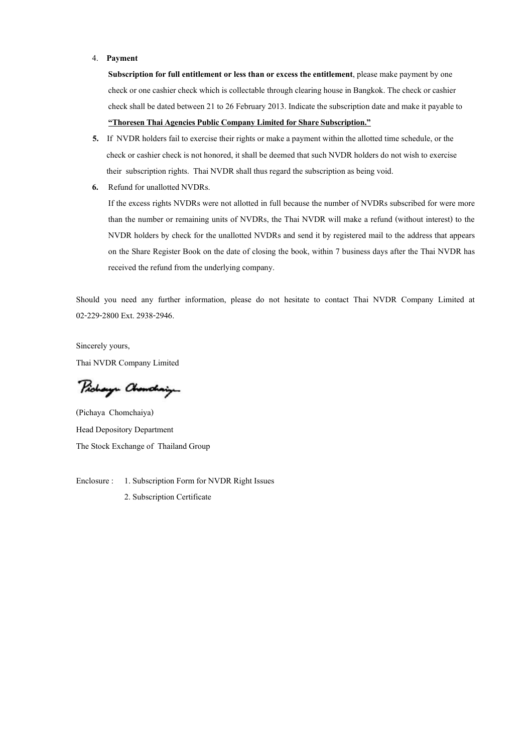### 4. Payment

Subscription for full entitlement or less than or excess the entitlement, please make payment by one check or one cashier check which is collectable through clearing house in Bangkok. The check or cashier check shall be dated between 21 to 26 February 2013. Indicate the subscription date and make it payable to "Thoresen Thai Agencies Public Company Limited for Share Subscription."

- 5. If NVDR holders fail to exercise their rights or make a payment within the allotted time schedule, or the check or cashier check is not honored, it shall be deemed that such NVDR holders do not wish to exercise their subscription rights. Thai NVDR shall thus regard the subscription as being void.
- 6. Refund for unallotted NVDRs.

If the excess rights NVDRs were not allotted in full because the number of NVDRs subscribed for were more than the number or remaining units of NVDRs, the Thai NVDR will make a refund (without interest) to the NVDR holders by check for the unallotted NVDRs and send it by registered mail to the address that appears on the Share Register Book on the date of closing the book, within 7 business days after the Thai NVDR has received the refund from the underlying company.

Should you need any further information, please do not hesitate to contact Thai NVDR Company Limited at 02-229-2800 Ext. 2938-2946.

Sincerely yours, Thai NVDR Company Limited

Pichaya Chanchaig

(Pichaya Chomchaiya) Head Depository Department The Stock Exchange of Thailand Group

Enclosure : 1. Subscription Form for NVDR Right Issues 2. Subscription Certificate